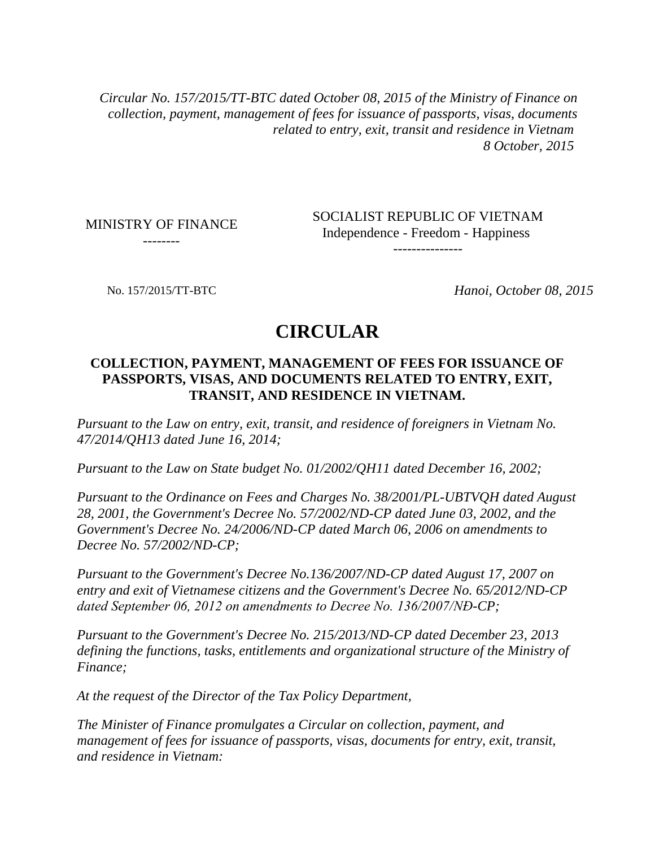*Circular No. 157/2015/TT-BTC dated October 08, 2015 of the Ministry of Finance on collection, payment, management of fees for issuance of passports, visas, documents related to entry, exit, transit and residence in Vietnam 8 October, 2015*

MINISTRY OF FINANCE --------

SOCIALIST REPUBLIC OF VIETNAM Independence - Freedom - Happiness ---------------

No. 157/2015/TT-BTC *Hanoi, October 08, 2015*

## **CIRCULAR**

#### **COLLECTION, PAYMENT, MANAGEMENT OF FEES FOR ISSUANCE OF PASSPORTS, VISAS, AND DOCUMENTS RELATED TO ENTRY, EXIT, TRANSIT, AND RESIDENCE IN VIETNAM.**

*Pursuant to the Law on entry, exit, transit, and residence of foreigners in Vietnam No. 47/2014/QH13 dated June 16, 2014;*

*Pursuant to the Law on State budget No. 01/2002/QH11 dated December 16, 2002;*

*Pursuant to the Ordinance on Fees and Charges No. 38/2001/PL-UBTVQH dated August 28, 2001, the Government's Decree No. 57/2002/ND-CP dated June 03, 2002, and the Government's Decree No. 24/2006/ND-CP dated March 06, 2006 on amendments to Decree No. 57/2002/ND-CP;*

*Pursuant to the Government's Decree No.136/2007/ND-CP dated August 17, 2007 on entry and exit of Vietnamese citizens and the Government's Decree No. 65/2012/ND-CP dated September 06, 2012 on amendments to Decree No. 136/2007/NĐ-CP;*

*Pursuant to the Government's Decree No. 215/2013/ND-CP dated December 23, 2013 defining the functions, tasks, entitlements and organizational structure of the Ministry of Finance;*

*At the request of the Director of the Tax Policy Department,*

*The Minister of Finance promulgates a Circular on collection, payment, and management of fees for issuance of passports, visas, documents for entry, exit, transit, and residence in Vietnam:*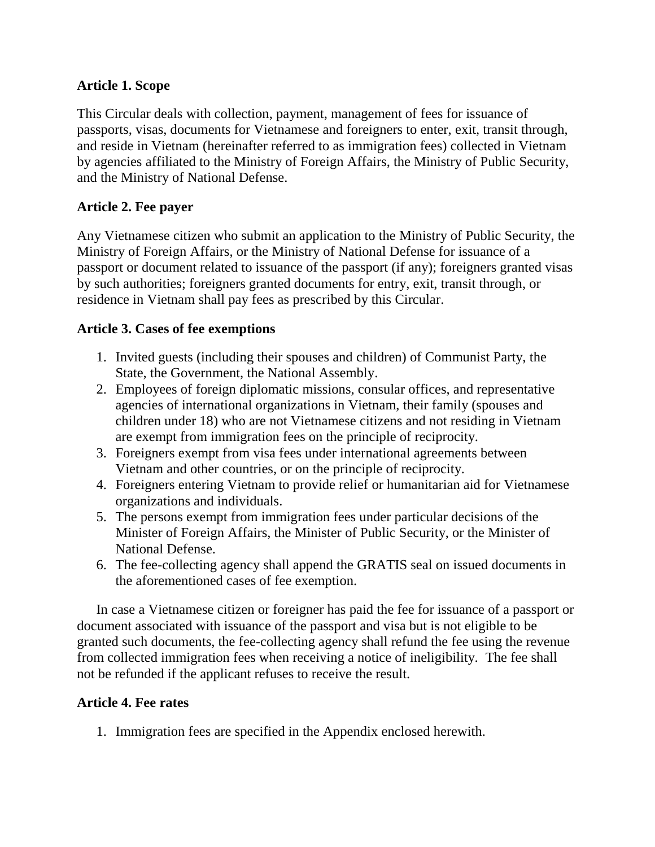#### **Article 1. Scope**

This Circular deals with collection, payment, management of fees for issuance of passports, visas, documents for Vietnamese and foreigners to enter, exit, transit through, and reside in Vietnam (hereinafter referred to as immigration fees) collected in Vietnam by agencies affiliated to the Ministry of Foreign Affairs, the Ministry of Public Security, and the Ministry of National Defense.

#### **Article 2. Fee payer**

Any Vietnamese citizen who submit an application to the Ministry of Public Security, the Ministry of Foreign Affairs, or the Ministry of National Defense for issuance of a passport or document related to issuance of the passport (if any); foreigners granted visas by such authorities; foreigners granted documents for entry, exit, transit through, or residence in Vietnam shall pay fees as prescribed by this Circular.

#### **Article 3. Cases of fee exemptions**

- 1. Invited guests (including their spouses and children) of Communist Party, the State, the Government, the National Assembly.
- 2. Employees of foreign diplomatic missions, consular offices, and representative agencies of international organizations in Vietnam, their family (spouses and children under 18) who are not Vietnamese citizens and not residing in Vietnam are exempt from immigration fees on the principle of reciprocity.
- 3. Foreigners exempt from visa fees under international agreements between Vietnam and other countries, or on the principle of reciprocity.
- 4. Foreigners entering Vietnam to provide relief or humanitarian aid for Vietnamese organizations and individuals.
- 5. The persons exempt from immigration fees under particular decisions of the Minister of Foreign Affairs, the Minister of Public Security, or the Minister of National Defense.
- 6. The fee-collecting agency shall append the GRATIS seal on issued documents in the aforementioned cases of fee exemption.

In case a Vietnamese citizen or foreigner has paid the fee for issuance of a passport or document associated with issuance of the passport and visa but is not eligible to be granted such documents, the fee-collecting agency shall refund the fee using the revenue from collected immigration fees when receiving a notice of ineligibility. The fee shall not be refunded if the applicant refuses to receive the result.

#### **Article 4. Fee rates**

1. Immigration fees are specified in the Appendix enclosed herewith.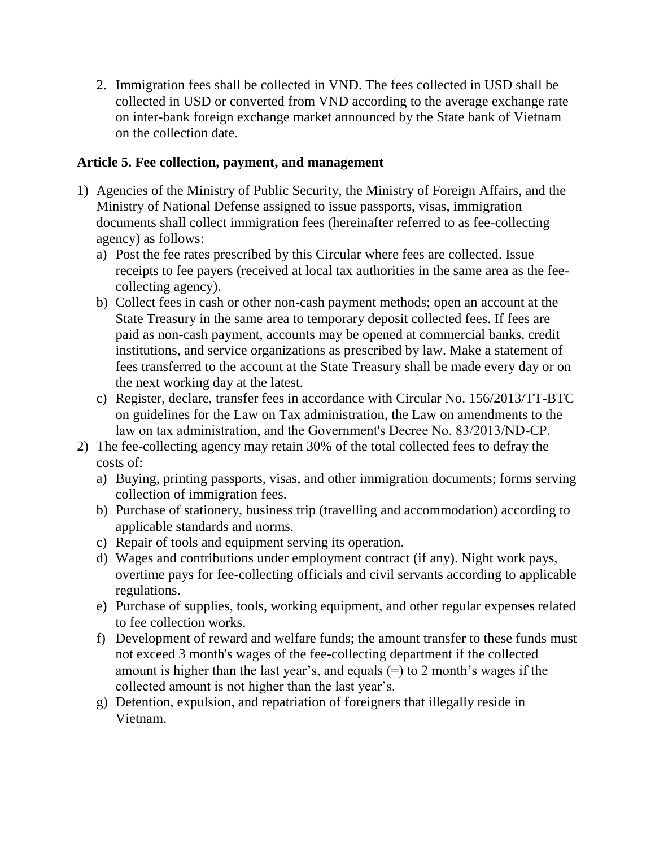2. Immigration fees shall be collected in VND. The fees collected in USD shall be collected in USD or converted from VND according to the average exchange rate on inter-bank foreign exchange market announced by the State bank of Vietnam on the collection date.

#### **Article 5. Fee collection, payment, and management**

- 1) Agencies of the Ministry of Public Security, the Ministry of Foreign Affairs, and the Ministry of National Defense assigned to issue passports, visas, immigration documents shall collect immigration fees (hereinafter referred to as fee-collecting agency) as follows:
	- a) Post the fee rates prescribed by this Circular where fees are collected. Issue receipts to fee payers (received at local tax authorities in the same area as the feecollecting agency).
	- b) Collect fees in cash or other non-cash payment methods; open an account at the State Treasury in the same area to temporary deposit collected fees. If fees are paid as non-cash payment, accounts may be opened at commercial banks, credit institutions, and service organizations as prescribed by law. Make a statement of fees transferred to the account at the State Treasury shall be made every day or on the next working day at the latest.
	- c) Register, declare, transfer fees in accordance with Circular No. 156/2013/TT-BTC on guidelines for the Law on Tax administration, the Law on amendments to the law on tax administration, and the Government's Decree No. 83/2013/NĐ-CP.
- 2) The fee-collecting agency may retain 30% of the total collected fees to defray the costs of:
	- a) Buying, printing passports, visas, and other immigration documents; forms serving collection of immigration fees.
	- b) Purchase of stationery, business trip (travelling and accommodation) according to applicable standards and norms.
	- c) Repair of tools and equipment serving its operation.
	- d) Wages and contributions under employment contract (if any). Night work pays, overtime pays for fee-collecting officials and civil servants according to applicable regulations.
	- e) Purchase of supplies, tools, working equipment, and other regular expenses related to fee collection works.
	- f) Development of reward and welfare funds; the amount transfer to these funds must not exceed 3 month's wages of the fee-collecting department if the collected amount is higher than the last year's, and equals  $(=)$  to 2 month's wages if the collected amount is not higher than the last year's.
	- g) Detention, expulsion, and repatriation of foreigners that illegally reside in Vietnam.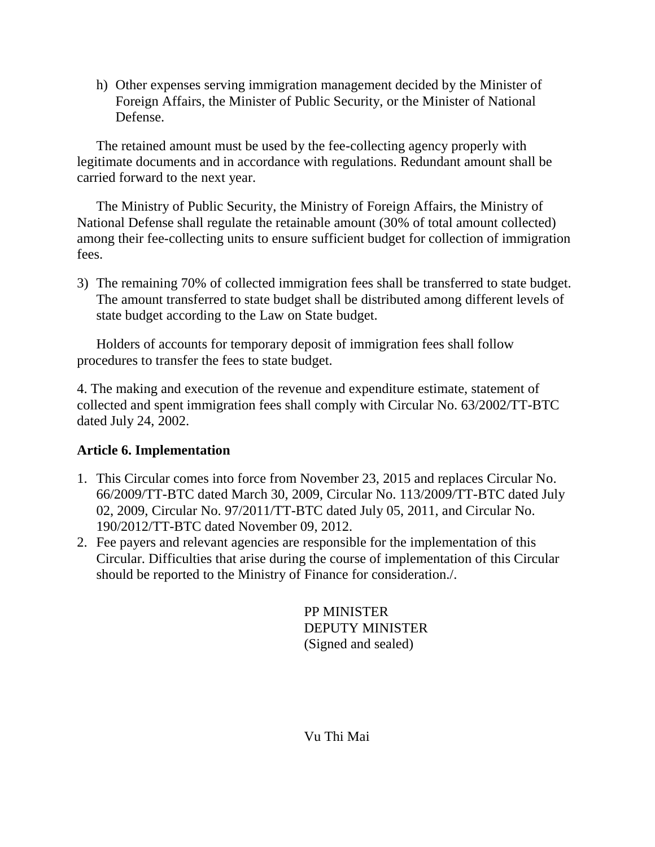h) Other expenses serving immigration management decided by the Minister of Foreign Affairs, the Minister of Public Security, or the Minister of National Defense.

The retained amount must be used by the fee-collecting agency properly with legitimate documents and in accordance with regulations. Redundant amount shall be carried forward to the next year.

The Ministry of Public Security, the Ministry of Foreign Affairs, the Ministry of National Defense shall regulate the retainable amount (30% of total amount collected) among their fee-collecting units to ensure sufficient budget for collection of immigration fees.

3) The remaining 70% of collected immigration fees shall be transferred to state budget. The amount transferred to state budget shall be distributed among different levels of state budget according to the Law on State budget.

Holders of accounts for temporary deposit of immigration fees shall follow procedures to transfer the fees to state budget.

4. The making and execution of the revenue and expenditure estimate, statement of collected and spent immigration fees shall comply with Circular No. 63/2002/TT-BTC dated July 24, 2002.

#### **Article 6. Implementation**

- 1. This Circular comes into force from November 23, 2015 and replaces Circular No. 66/2009/TT-BTC dated March 30, 2009, Circular No. 113/2009/TT-BTC dated July 02, 2009, Circular No. 97/2011/TT-BTC dated July 05, 2011, and Circular No. 190/2012/TT-BTC dated November 09, 2012.
- 2. Fee payers and relevant agencies are responsible for the implementation of this Circular. Difficulties that arise during the course of implementation of this Circular should be reported to the Ministry of Finance for consideration./.

PP MINISTER DEPUTY MINISTER (Signed and sealed)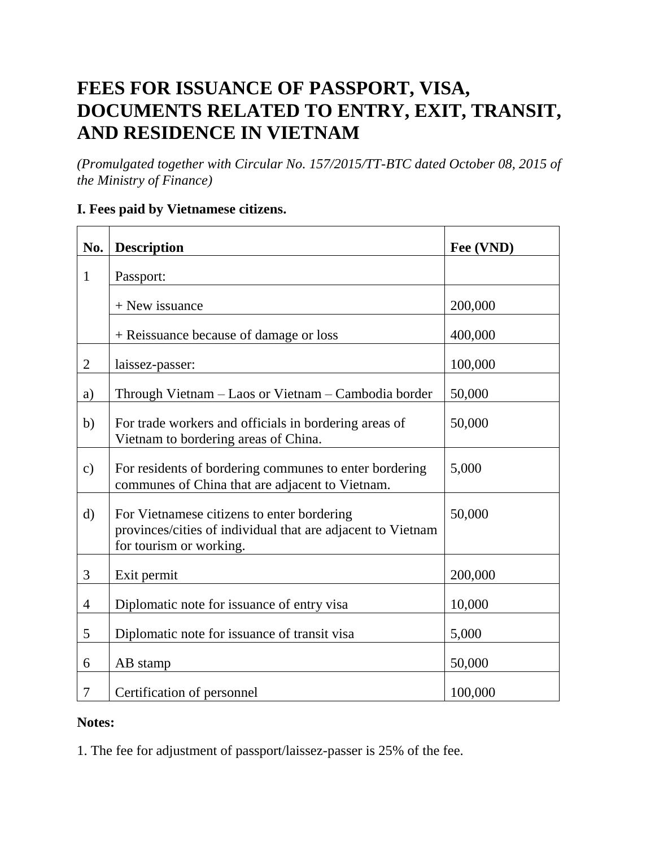# **FEES FOR ISSUANCE OF PASSPORT, VISA, DOCUMENTS RELATED TO ENTRY, EXIT, TRANSIT, AND RESIDENCE IN VIETNAM**

*(Promulgated together with Circular No. 157/2015/TT-BTC dated October 08, 2015 of the Ministry of Finance)*

#### **I. Fees paid by Vietnamese citizens.**

| No.            | <b>Description</b>                                                                                                                   | Fee (VND) |
|----------------|--------------------------------------------------------------------------------------------------------------------------------------|-----------|
| $\mathbf{1}$   | Passport:                                                                                                                            |           |
|                | $+$ New issuance                                                                                                                     | 200,000   |
|                | + Reissuance because of damage or loss                                                                                               | 400,000   |
| 2              | laissez-passer:                                                                                                                      | 100,000   |
| a)             | Through Vietnam - Laos or Vietnam - Cambodia border                                                                                  | 50,000    |
| b)             | For trade workers and officials in bordering areas of<br>Vietnam to bordering areas of China.                                        | 50,000    |
| $\mathbf{c})$  | For residents of bordering communes to enter bordering<br>communes of China that are adjacent to Vietnam.                            | 5,000     |
| $\rm d)$       | For Vietnamese citizens to enter bordering<br>provinces/cities of individual that are adjacent to Vietnam<br>for tourism or working. | 50,000    |
| 3              | Exit permit                                                                                                                          | 200,000   |
| $\overline{4}$ | Diplomatic note for issuance of entry visa                                                                                           | 10,000    |
| 5              | Diplomatic note for issuance of transit visa                                                                                         | 5,000     |
| 6              | AB stamp                                                                                                                             | 50,000    |
| 7              | Certification of personnel                                                                                                           | 100,000   |

#### **Notes:**

1. The fee for adjustment of passport/laissez-passer is 25% of the fee.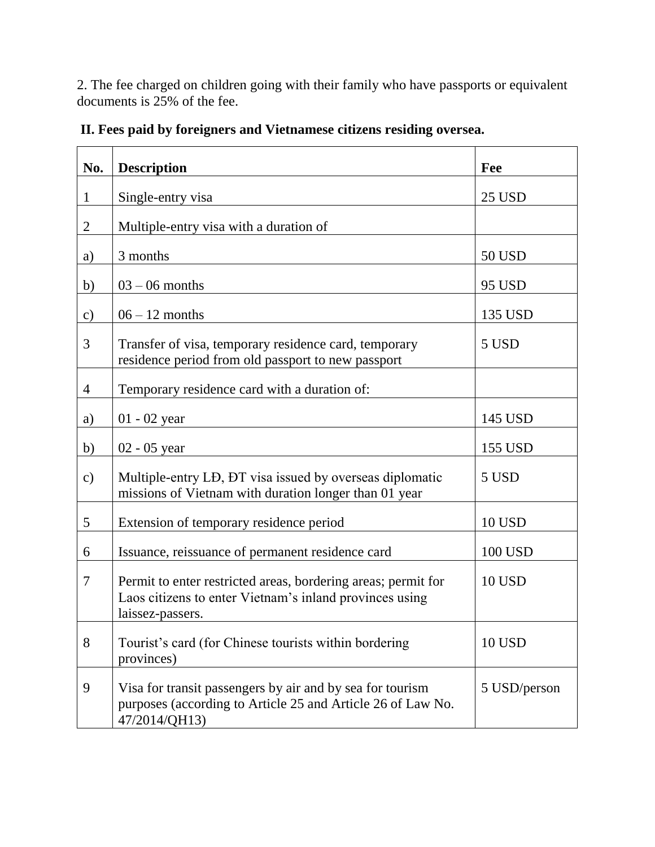2. The fee charged on children going with their family who have passports or equivalent documents is 25% of the fee.

| No.            | <b>Description</b>                                                                                                                           | Fee            |
|----------------|----------------------------------------------------------------------------------------------------------------------------------------------|----------------|
| $\mathbf{1}$   | Single-entry visa                                                                                                                            | 25 USD         |
| $\overline{2}$ | Multiple-entry visa with a duration of                                                                                                       |                |
| a)             | 3 months                                                                                                                                     | 50 USD         |
| b)             | $03 - 06$ months                                                                                                                             | 95 USD         |
| $\mathbf{c})$  | $06 - 12$ months                                                                                                                             | 135 USD        |
| 3              | Transfer of visa, temporary residence card, temporary<br>residence period from old passport to new passport                                  | 5 USD          |
| $\overline{4}$ | Temporary residence card with a duration of:                                                                                                 |                |
| a)             | $01 - 02$ year                                                                                                                               | 145 USD        |
| b)             | $02 - 05$ year                                                                                                                               | 155 USD        |
| $\mathbf{c})$  | Multiple-entry LD, DT visa issued by overseas diplomatic<br>missions of Vietnam with duration longer than 01 year                            | 5 USD          |
| 5              | Extension of temporary residence period                                                                                                      | <b>10 USD</b>  |
| 6              | Issuance, reissuance of permanent residence card                                                                                             | <b>100 USD</b> |
| 7              | Permit to enter restricted areas, bordering areas; permit for<br>Laos citizens to enter Vietnam's inland provinces using<br>laissez-passers. | <b>10 USD</b>  |
| 8              | Tourist's card (for Chinese tourists within bordering<br>provinces)                                                                          | <b>10 USD</b>  |
| 9              | Visa for transit passengers by air and by sea for tourism<br>purposes (according to Article 25 and Article 26 of Law No.<br>47/2014/QH13)    | 5 USD/person   |

**II. Fees paid by foreigners and Vietnamese citizens residing oversea.**